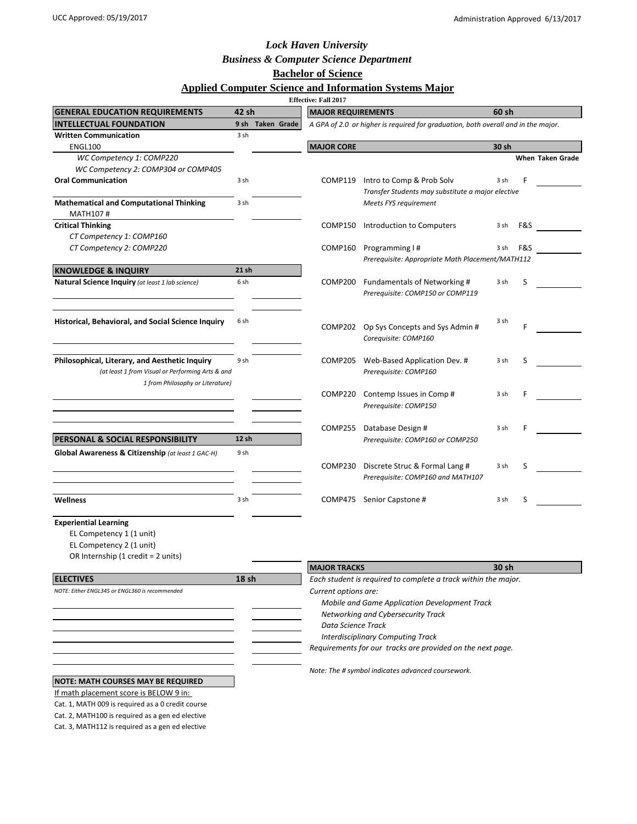## *Lock Haven University*

## *Business & Computer Science Department*

**Bachelor of Science**

### **Applied Computer Science and Information Systems Major**

| <b>Effective: Fall 2017</b>                                                                                                                                                                  |       |                  |                                                                                                                                                                                                                                                                                                               |                                                                                   |       |     |                  |  |  |  |  |
|----------------------------------------------------------------------------------------------------------------------------------------------------------------------------------------------|-------|------------------|---------------------------------------------------------------------------------------------------------------------------------------------------------------------------------------------------------------------------------------------------------------------------------------------------------------|-----------------------------------------------------------------------------------|-------|-----|------------------|--|--|--|--|
| <b>GENERAL EDUCATION REQUIREMENTS</b>                                                                                                                                                        | 42 sh |                  | <b>MAJOR REQUIREMENTS</b>                                                                                                                                                                                                                                                                                     |                                                                                   | 60 sh |     |                  |  |  |  |  |
| <b>INTELLECTUAL FOUNDATION</b>                                                                                                                                                               |       | 9 sh Taken Grade |                                                                                                                                                                                                                                                                                                               | A GPA of 2.0 or higher is required for graduation, both overall and in the major. |       |     |                  |  |  |  |  |
| <b>Written Communication</b>                                                                                                                                                                 | 3 sh  |                  |                                                                                                                                                                                                                                                                                                               |                                                                                   |       |     |                  |  |  |  |  |
| <b>ENGL100</b>                                                                                                                                                                               |       |                  | <b>MAJOR CORE</b>                                                                                                                                                                                                                                                                                             |                                                                                   | 30 sh |     |                  |  |  |  |  |
| WC Competency 1: COMP220                                                                                                                                                                     |       |                  |                                                                                                                                                                                                                                                                                                               |                                                                                   |       |     | When Taken Grade |  |  |  |  |
| WC Competency 2: COMP304 or COMP405                                                                                                                                                          |       |                  |                                                                                                                                                                                                                                                                                                               |                                                                                   |       |     |                  |  |  |  |  |
| <b>Oral Communication</b>                                                                                                                                                                    | 3 sh  |                  | COMP119                                                                                                                                                                                                                                                                                                       | Intro to Comp & Prob Solv<br>Transfer Students may substitute a major elective    | 3 sh  | F   |                  |  |  |  |  |
| <b>Mathematical and Computational Thinking</b><br>MATH107#                                                                                                                                   | 3 sh  |                  |                                                                                                                                                                                                                                                                                                               | Meets FYS requirement                                                             |       |     |                  |  |  |  |  |
| <b>Critical Thinking</b>                                                                                                                                                                     |       |                  | COMP150                                                                                                                                                                                                                                                                                                       | Introduction to Computers                                                         | 3 sh  | F&S |                  |  |  |  |  |
| CT Competency 1: COMP160                                                                                                                                                                     |       |                  |                                                                                                                                                                                                                                                                                                               |                                                                                   |       |     |                  |  |  |  |  |
| CT Competency 2: COMP220                                                                                                                                                                     |       |                  | COMP160                                                                                                                                                                                                                                                                                                       | Programming I#<br>Prerequisite: Appropriate Math Placement/MATH112                | 3 sh  | F&S |                  |  |  |  |  |
| <b>KNOWLEDGE &amp; INQUIRY</b>                                                                                                                                                               | 21 sh |                  |                                                                                                                                                                                                                                                                                                               |                                                                                   |       |     |                  |  |  |  |  |
| Natural Science Inquiry (at least 1 lab science)                                                                                                                                             | 6 sh  |                  | COMP200                                                                                                                                                                                                                                                                                                       | Fundamentals of Networking #<br>Prerequisite: COMP150 or COMP119                  | 3 sh  | S   |                  |  |  |  |  |
| Historical, Behavioral, and Social Science Inquiry                                                                                                                                           | 6 sh  |                  | COMP202                                                                                                                                                                                                                                                                                                       | Op Sys Concepts and Sys Admin #<br>Corequisite: COMP160                           | 3 sh  | F   |                  |  |  |  |  |
| Philosophical, Literary, and Aesthetic Inquiry<br>(at least 1 from Visual or Performing Arts & and                                                                                           | 9 sh  |                  | COMP205                                                                                                                                                                                                                                                                                                       | Web-Based Application Dev. #<br>Prerequisite: COMP160                             | 3 sh  | S   |                  |  |  |  |  |
| 1 from Philosophy or Literature)                                                                                                                                                             |       |                  | COMP220                                                                                                                                                                                                                                                                                                       | Contemp Issues in Comp#<br>Prerequisite: COMP150                                  | 3 sh  | F   |                  |  |  |  |  |
|                                                                                                                                                                                              |       |                  | COMP255                                                                                                                                                                                                                                                                                                       | Database Design #                                                                 | 3 sh  | F   |                  |  |  |  |  |
| <b>PERSONAL &amp; SOCIAL RESPONSIBILITY</b>                                                                                                                                                  | 12 sh |                  |                                                                                                                                                                                                                                                                                                               | Prerequisite: COMP160 or COMP250                                                  |       |     |                  |  |  |  |  |
| Global Awareness & Citizenship (at least 1 GAC-H)                                                                                                                                            | 9 sh  |                  | COMP230                                                                                                                                                                                                                                                                                                       | Discrete Struc & Formal Lang #<br>Prerequisite: COMP160 and MATH107               | 3 sh  | S   |                  |  |  |  |  |
| Wellness                                                                                                                                                                                     | 3 sh  |                  |                                                                                                                                                                                                                                                                                                               | COMP475 Senior Capstone #                                                         | 3 sh  | S   |                  |  |  |  |  |
| <b>Experiential Learning</b><br>EL Competency 1 (1 unit)<br>EL Competency 2 (1 unit)<br>OR Internship (1 credit = 2 units)                                                                   |       |                  |                                                                                                                                                                                                                                                                                                               |                                                                                   |       |     |                  |  |  |  |  |
|                                                                                                                                                                                              |       |                  | <b>MAJOR TRACKS</b>                                                                                                                                                                                                                                                                                           |                                                                                   | 30 sh |     |                  |  |  |  |  |
| <b>ELECTIVES</b><br>NOTE: Either ENGL345 or ENGL360 is recommended                                                                                                                           | 18 sh |                  | Each student is required to complete a track within the major.<br>Current options are:<br>Mobile and Game Application Development Track<br>Networking and Cybersecurity Track<br>Data Science Track<br><b>Interdisciplinary Computing Track</b><br>Requirements for our tracks are provided on the next page. |                                                                                   |       |     |                  |  |  |  |  |
| <b>NOTE: MATH COURSES MAY BE REQUIRED</b><br>If math placement score is BELOW 9 in:<br>Cat. 1, MATH 009 is required as a 0 credit course<br>Cat. 2, MATH100 is required as a gen ed elective |       |                  |                                                                                                                                                                                                                                                                                                               | Note: The # symbol indicates advanced coursework.                                 |       |     |                  |  |  |  |  |

Cat. 3, MATH112 is required as a gen ed elective